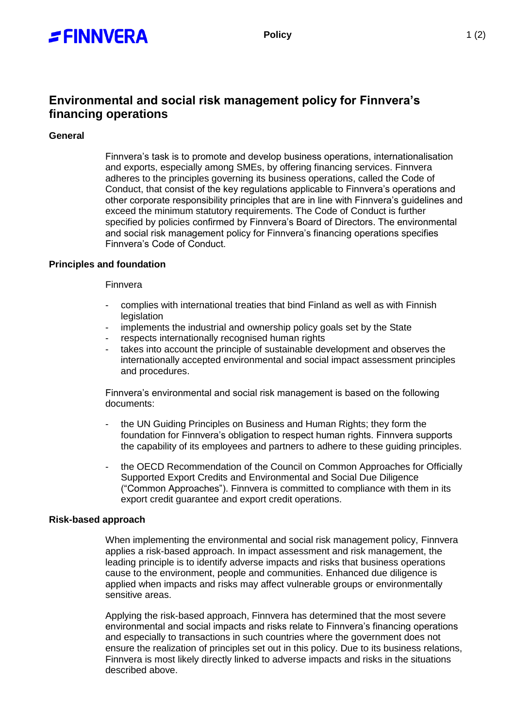

# **Environmental and social risk management policy for Finnvera's financing operations**

# **General**

Finnvera's task is to promote and develop business operations, internationalisation and exports, especially among SMEs, by offering financing services. Finnvera adheres to the principles governing its business operations, called the Code of Conduct, that consist of the key regulations applicable to Finnvera's operations and other corporate responsibility principles that are in line with Finnvera's guidelines and exceed the minimum statutory requirements. The Code of Conduct is further specified by policies confirmed by Finnvera's Board of Directors. The environmental and social risk management policy for Finnvera's financing operations specifies Finnvera's Code of Conduct.

## **Principles and foundation**

## Finnvera

- complies with international treaties that bind Finland as well as with Finnish legislation
- implements the industrial and ownership policy goals set by the State
- respects internationally recognised human rights
- takes into account the principle of sustainable development and observes the internationally accepted environmental and social impact assessment principles and procedures.

Finnvera's environmental and social risk management is based on the following documents:

- the UN Guiding Principles on Business and Human Rights; they form the foundation for Finnvera's obligation to respect human rights. Finnvera supports the capability of its employees and partners to adhere to these guiding principles.
- the OECD Recommendation of the Council on Common Approaches for Officially Supported Export Credits and Environmental and Social Due Diligence ("Common Approaches"). Finnvera is committed to compliance with them in its export credit guarantee and export credit operations.

## **Risk-based approach**

When implementing the environmental and social risk management policy, Finnvera applies a risk-based approach. In impact assessment and risk management, the leading principle is to identify adverse impacts and risks that business operations cause to the environment, people and communities. Enhanced due diligence is applied when impacts and risks may affect vulnerable groups or environmentally sensitive areas.

Applying the risk-based approach, Finnvera has determined that the most severe environmental and social impacts and risks relate to Finnvera's financing operations and especially to transactions in such countries where the government does not ensure the realization of principles set out in this policy. Due to its business relations, Finnvera is most likely directly linked to adverse impacts and risks in the situations described above.